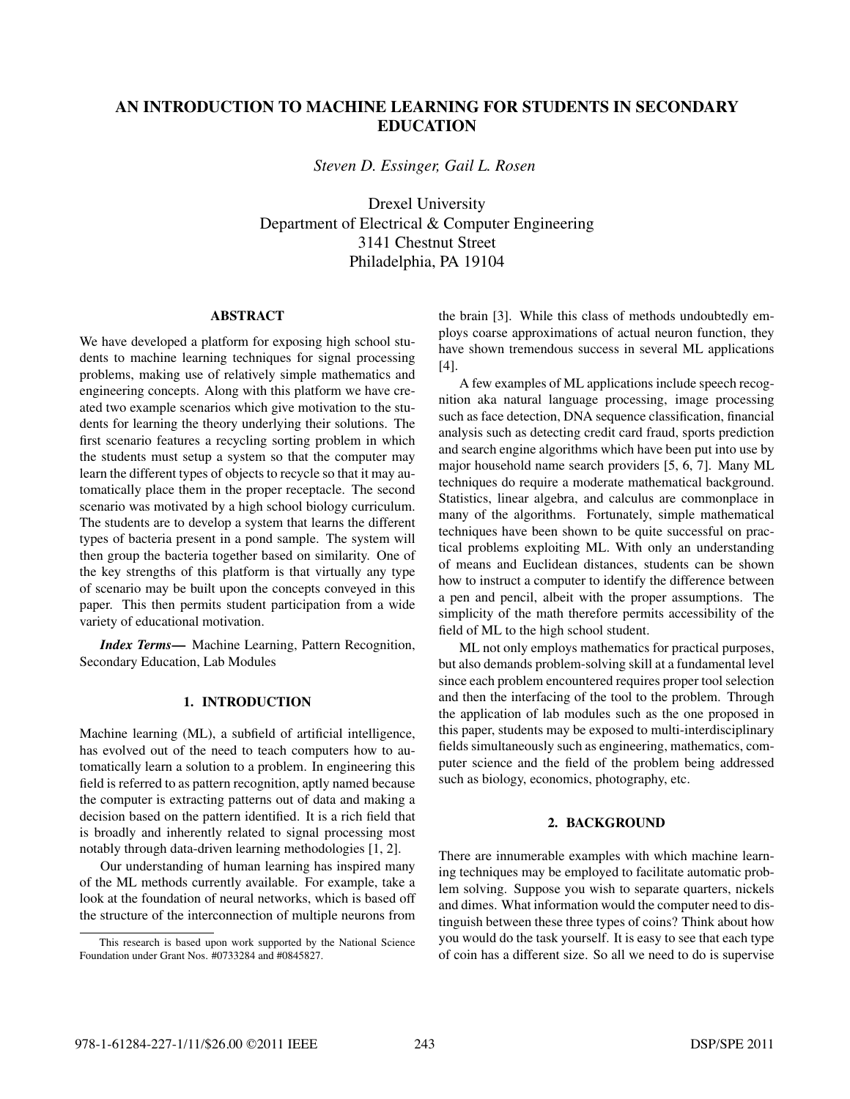# AN INTRODUCTION TO MACHINE LEARNING FOR STUDENTS IN SECONDARY<br>EDUCATION EDUCATION

*Steven D. Essinger, Gail L. Rosen*

Drexel University Department of Electrical & Computer Engineering 3141 Chestnut Street Philadelphia, PA 19104

### **ABSTRACT** ABSTRACT

We have developed a platform for exposing high school students to machine learning techniques for signal processing problems, making use of relatively simple mathematics and engineering concepts. Along with this platform we have created two example scenarios which give motivation to the students for learning the theory underlying their solutions. The first scenario features a recycling sorting problem in which the students must setup a system so that the computer may learn the different types of objects to recycle so that it may automatically place them in the proper receptacle. The second scenario was motivated by a high school biology curriculum. The students are to develop a system that learns the different types of bacteria present in a pond sample. The system will then group the bacteria together based on similarity. One of the key strengths of this platform is that virtually any type of scenario may be built upon the concepts conveyed in this paper. This then permits student participation from a wide variety of educational motivation.

*Index Terms*— Machine Learning, Pattern Recognition, Secondary Education, Lab Modules

### 1. INTRODUCTION 1. INTRODUCTION

Machine learning (ML), a subfield of artificial intelligence, has evolved out of the need to teach computers how to automatically learn a solution to a problem. In engineering this field is referred to as pattern recognition, aptly named because the computer is extracting patterns out of data and making a decision based on the pattern identified. It is a rich field that is broadly and inherently related to signal processing most notably through data-driven learning methodologies [1, 2].

Our understanding of human learning has inspired many of the ML methods currently available. For example, take a look at the foundation of neural networks, which is based off the structure of the interconnection of multiple neurons from the brain [3]. While this class of methods undoubtedly employs coarse approximations of actual neuron function, they have shown tremendous success in several ML applications [4].

A few examples of ML applications include speech recognition aka natural language processing, image processing such as face detection, DNA sequence classification, financial analysis such as detecting credit card fraud, sports prediction and search engine algorithms which have been put into use by major household name search providers [5, 6, 7]. Many ML techniques do require a moderate mathematical background. Statistics, linear algebra, and calculus are commonplace in many of the algorithms. Fortunately, simple mathematical techniques have been shown to be quite successful on practical problems exploiting ML. With only an understanding of means and Euclidean distances, students can be shown how to instruct a computer to identify the difference between a pen and pencil, albeit with the proper assumptions. The simplicity of the math therefore permits accessibility of the field of ML to the high school student.

ML not only employs mathematics for practical purposes, but also demands problem-solving skill at a fundamental level since each problem encountered requires proper tool selection and then the interfacing of the tool to the problem. Through the application of lab modules such as the one proposed in this paper, students may be exposed to multi-interdisciplinary fields simultaneously such as engineering, mathematics, computer science and the field of the problem being addressed such as biology, economics, photography, etc.

# 2. BACKGROUND 197

There are innumerable examples with which machine learning techniques may be employed to facilitate automatic problem solving. Suppose you wish to separate quarters, nickels and dimes. What information would the computer need to distinguish between these three types of coins? Think about how you would do the task yourself. It is easy to see that each type of coin has a different size. So all we need to do is supervise

This research is based upon work supported by the National Science Foundation under Grant Nos. #0733284 and #0845827.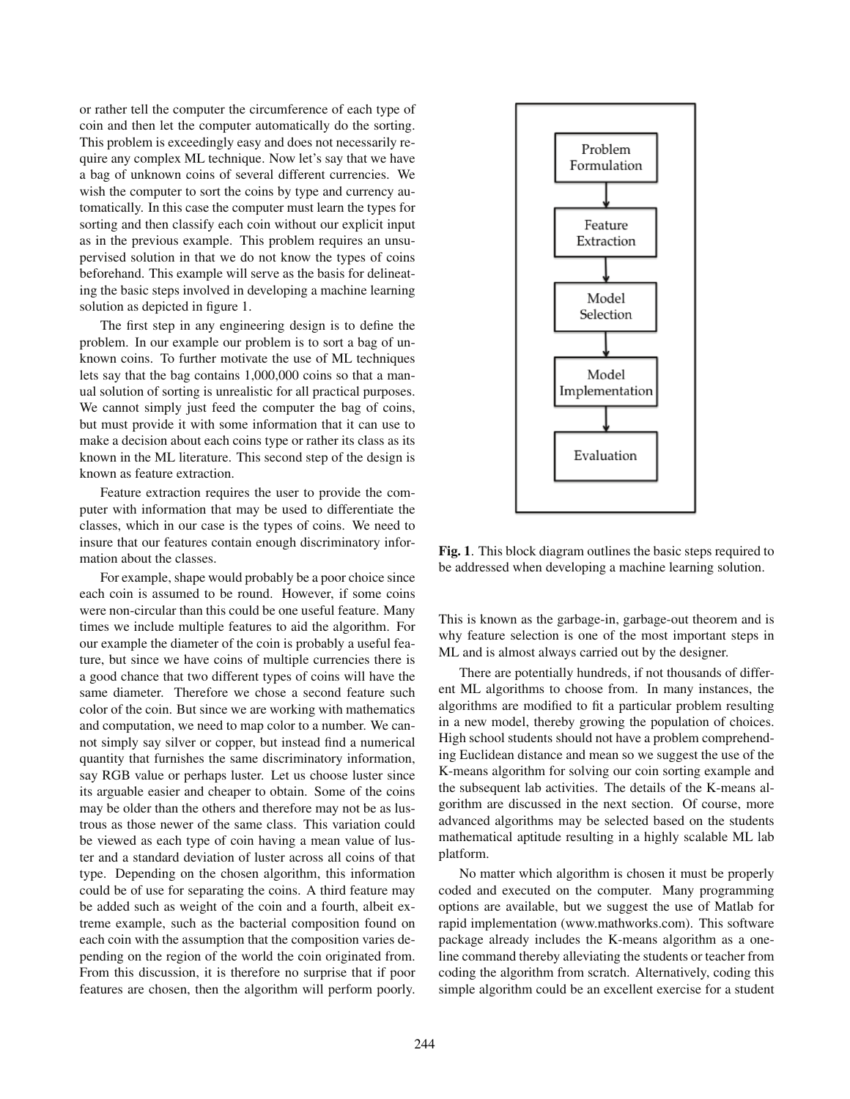or rather tell the computer the circumference of each type of coin and then let the computer automatically do the sorting. This problem is exceedingly easy and does not necessarily require any complex ML technique. Now let's say that we have a bag of unknown coins of several different currencies. We wish the computer to sort the coins by type and currency automatically. In this case the computer must learn the types for sorting and then classify each coin without our explicit input as in the previous example. This problem requires an unsupervised solution in that we do not know the types of coins beforehand. This example will serve as the basis for delineating the basic steps involved in developing a machine learning solution as depicted in figure 1.

The first step in any engineering design is to define the problem. In our example our problem is to sort a bag of unknown coins. To further motivate the use of ML techniques lets say that the bag contains 1,000,000 coins so that a manual solution of sorting is unrealistic for all practical purposes. We cannot simply just feed the computer the bag of coins, but must provide it with some information that it can use to make a decision about each coins type or rather its class as its known in the ML literature. This second step of the design is known as feature extraction.

Feature extraction requires the user to provide the computer with information that may be used to differentiate the classes, which in our case is the types of coins. We need to insure that our features contain enough discriminatory information about the classes.

For example, shape would probably be a poor choice since each coin is assumed to be round. However, if some coins were non-circular than this could be one useful feature. Many times we include multiple features to aid the algorithm. For our example the diameter of the coin is probably a useful feature, but since we have coins of multiple currencies there is a good chance that two different types of coins will have the same diameter. Therefore we chose a second feature such color of the coin. But since we are working with mathematics and computation, we need to map color to a number. We cannot simply say silver or copper, but instead find a numerical quantity that furnishes the same discriminatory information, say RGB value or perhaps luster. Let us choose luster since its arguable easier and cheaper to obtain. Some of the coins may be older than the others and therefore may not be as lustrous as those newer of the same class. This variation could be viewed as each type of coin having a mean value of luster and a standard deviation of luster across all coins of that type. Depending on the chosen algorithm, this information could be of use for separating the coins. A third feature may be added such as weight of the coin and a fourth, albeit extreme example, such as the bacterial composition found on each coin with the assumption that the composition varies depending on the region of the world the coin originated from. From this discussion, it is therefore no surprise that if poor features are chosen, then the algorithm will perform poorly.



Fig. 1. This block diagram outlines the basic steps required to be addressed when developing a machine learning solution.

This is known as the garbage-in, garbage-out theorem and is why feature selection is one of the most important steps in ML and is almost always carried out by the designer.

There are potentially hundreds, if not thousands of different ML algorithms to choose from. In many instances, the algorithms are modified to fit a particular problem resulting in a new model, thereby growing the population of choices. High school students should not have a problem comprehending Euclidean distance and mean so we suggest the use of the K-means algorithm for solving our coin sorting example and the subsequent lab activities. The details of the K-means algorithm are discussed in the next section. Of course, more advanced algorithms may be selected based on the students mathematical aptitude resulting in a highly scalable ML lab platform.

No matter which algorithm is chosen it must be properly coded and executed on the computer. Many programming options are available, but we suggest the use of Matlab for rapid implementation (www.mathworks.com). This software package already includes the K-means algorithm as a oneline command thereby alleviating the students or teacher from coding the algorithm from scratch. Alternatively, coding this simple algorithm could be an excellent exercise for a student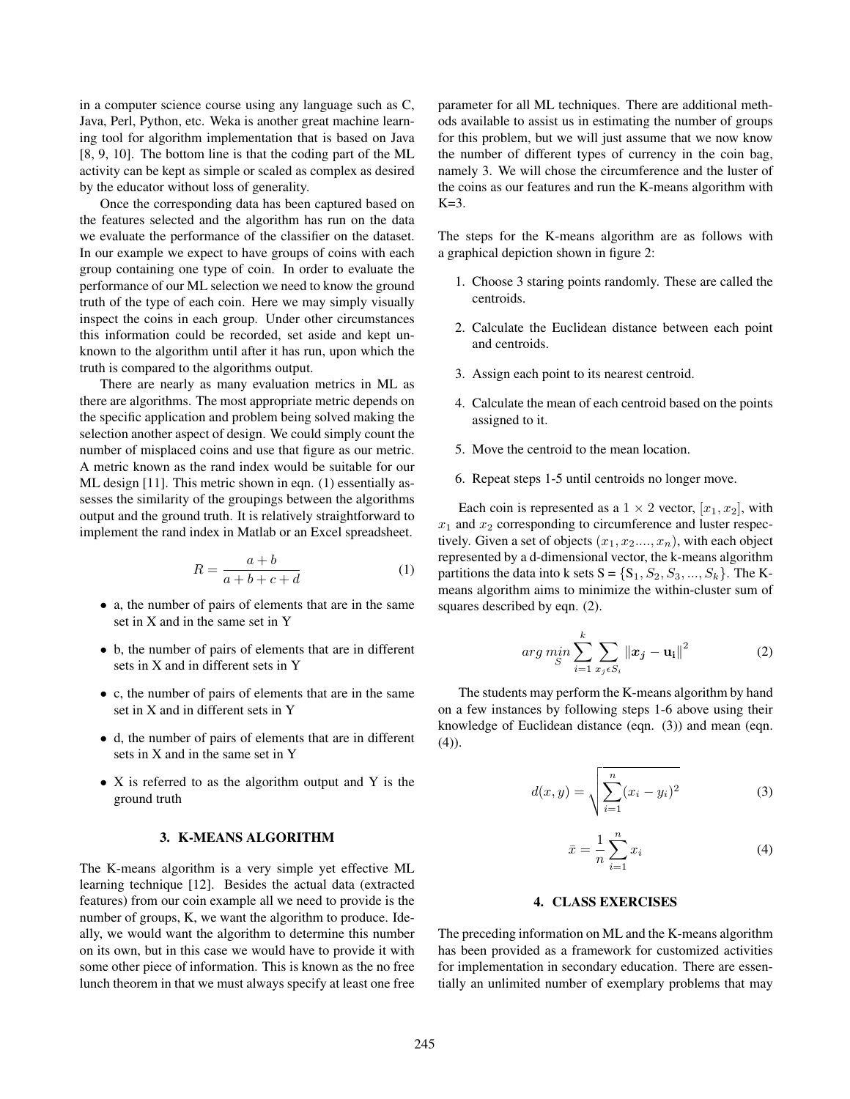in a computer science course using any language such as C, Java, Perl, Python, etc. Weka is another great machine learning tool for algorithm implementation that is based on Java [8, 9, 10]. The bottom line is that the coding part of the ML activity can be kept as simple or scaled as complex as desired by the educator without loss of generality.

Once the corresponding data has been captured based on the features selected and the algorithm has run on the data we evaluate the performance of the classifier on the dataset. In our example we expect to have groups of coins with each group containing one type of coin. In order to evaluate the performance of our ML selection we need to know the ground truth of the type of each coin. Here we may simply visually inspect the coins in each group. Under other circumstances this information could be recorded, set aside and kept unknown to the algorithm until after it has run, upon which the truth is compared to the algorithms output.

There are nearly as many evaluation metrics in ML as there are algorithms. The most appropriate metric depends on the specific application and problem being solved making the selection another aspect of design. We could simply count the number of misplaced coins and use that figure as our metric. A metric known as the rand index would be suitable for our ML design [11]. This metric shown in eqn. (1) essentially assesses the similarity of the groupings between the algorithms output and the ground truth. It is relatively straightforward to implement the rand index in Matlab or an Excel spreadsheet.

$$
R = \frac{a+b}{a+b+c+d} \tag{1}
$$

- a, the number of pairs of elements that are in the same set in X and in the same set in Y
- b, the number of pairs of elements that are in different sets in X and in different sets in Y
- c, the number of pairs of elements that are in the same set in X and in different sets in Y
- d, the number of pairs of elements that are in different sets in X and in the same set in Y
- X is referred to as the algorithm output and Y is the ground truth

# 3. K-MEANS ALGORITHM

The K-means algorithm is a very simple yet effective ML learning technique [12]. Besides the actual data (extracted features) from our coin example all we need to provide is the number of groups, K, we want the algorithm to produce. Ideally, we would want the algorithm to determine this number on its own, but in this case we would have to provide it with some other piece of information. This is known as the no free lunch theorem in that we must always specify at least one free

parameter for all ML techniques. There are additional methods available to assist us in estimating the number of groups for this problem, but we will just assume that we now know the number of different types of currency in the coin bag, namely 3. We will chose the circumference and the luster of the coins as our features and run the K-means algorithm with  $K=3$ .

The steps for the K-means algorithm are as follows with a graphical depiction shown in figure 2:

- 1. Choose 3 staring points randomly. These are called the centroids.
- 2. Calculate the Euclidean distance between each point and centroids.
- 3. Assign each point to its nearest centroid.
- 4. Calculate the mean of each centroid based on the points assigned to it.
- 5. Move the centroid to the mean location.
- 6. Repeat steps 1-5 until centroids no longer move.

Each coin is represented as a  $1 \times 2$  vector,  $[x_1, x_2]$ , with  $x_1$  and  $x_2$  corresponding to circumference and luster respectively. Given a set of objects  $(x_1, x_2, ..., x_n)$ , with each object represented by a d-dimensional vector, the k-means algorithm partitions the data into k sets  $S = \{S_1, S_2, S_3, ..., S_k\}$ . The Kmeans algorithm aims to minimize the within-cluster sum of squares described by eqn. (2).

$$
arg\min_{S} \sum_{i=1}^{k} \sum_{x_j \in S_i} ||x_j - \mathbf{u_i}||^2
$$
 (2)

The students may perform the K-means algorithm by hand on a few instances by following steps 1-6 above using their knowledge of Euclidean distance (eqn. (3)) and mean (eqn. (4)).

$$
d(x,y) = \sqrt{\sum_{i=1}^{n} (x_i - y_i)^2}
$$
 (3)

$$
\bar{x} = \frac{1}{n} \sum_{i=1}^{n} x_i \tag{4}
$$

### **4. CLASS EXERCISES**  $\frac{1}{2}$ . Corrected exercises  $\frac{1}{2}$

The preceding information on ML and the K-means algorithm has been provided as a framework for customized activities for implementation in secondary education. There are essentially an unlimited number of exemplary problems that may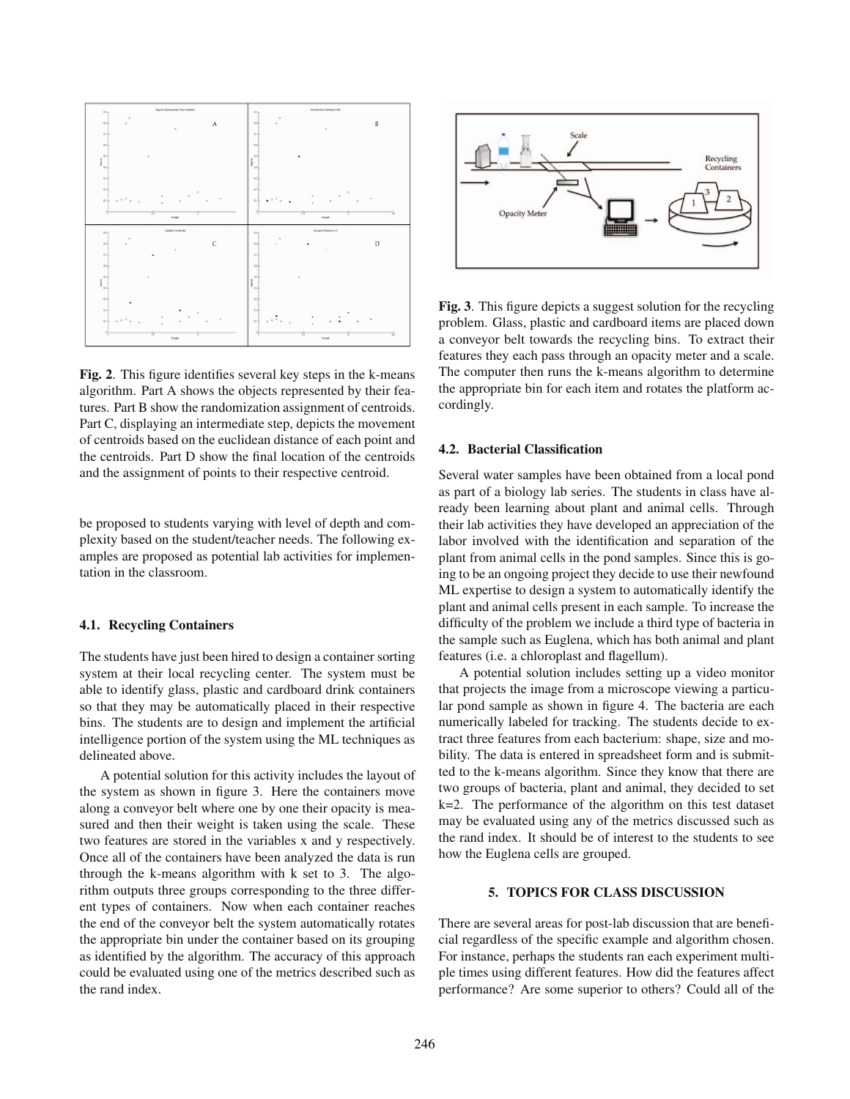

Fig. 2. This figure identifies several key steps in the k-means algorithm. Part A shows the objects represented by their features. Part B show the randomization assignment of centroids. Part C, displaying an intermediate step, depicts the movement of centroids based on the euclidean distance of each point and the centroids. Part D show the final location of the centroids and the assignment of points to their respective centroid.

be proposed to students varying with level of depth and complexity based on the student/teacher needs. The following examples are proposed as potential lab activities for implementation in the classroom.

## 4.1. Recycling Containers

The students have just been hired to design a container sorting system at their local recycling center. The system must be able to identify glass, plastic and cardboard drink containers so that they may be automatically placed in their respective bins. The students are to design and implement the artificial intelligence portion of the system using the ML techniques as delineated above.

A potential solution for this activity includes the layout of the system as shown in figure 3. Here the containers move along a conveyor belt where one by one their opacity is measured and then their weight is taken using the scale. These two features are stored in the variables x and y respectively. Once all of the containers have been analyzed the data is run through the k-means algorithm with k set to 3. The algorithm outputs three groups corresponding to the three different types of containers. Now when each container reaches the end of the conveyor belt the system automatically rotates the appropriate bin under the container based on its grouping as identified by the algorithm. The accuracy of this approach could be evaluated using one of the metrics described such as the rand index.



Fig. 3. This figure depicts a suggest solution for the recycling problem. Glass, plastic and cardboard items are placed down a conveyor belt towards the recycling bins. To extract their features they each pass through an opacity meter and a scale. The computer then runs the k-means algorithm to determine the appropriate bin for each item and rotates the platform accordingly.

### 4.2. Bacterial Classification 4.2. Bacterial Classification

Several water samples have been obtained from a local pond as part of a biology lab series. The students in class have already been learning about plant and animal cells. Through their lab activities they have developed an appreciation of the labor involved with the identification and separation of the plant from animal cells in the pond samples. Since this is going to be an ongoing project they decide to use their newfound ML expertise to design a system to automatically identify the plant and animal cells present in each sample. To increase the difficulty of the problem we include a third type of bacteria in the sample such as Euglena, which has both animal and plant features (i.e. a chloroplast and flagellum).

A potential solution includes setting up a video monitor that projects the image from a microscope viewing a particular pond sample as shown in figure 4. The bacteria are each numerically labeled for tracking. The students decide to extract three features from each bacterium: shape, size and mobility. The data is entered in spreadsheet form and is submitted to the k-means algorithm. Since they know that there are two groups of bacteria, plant and animal, they decided to set k=2. The performance of the algorithm on this test dataset may be evaluated using any of the metrics discussed such as the rand index. It should be of interest to the students to see how the Euglena cells are grouped.

## 5. TOPICS FOR CLASS EXCESSION

There are several areas for post-lab discussion that are beneficial regardless of the specific example and algorithm chosen. For instance, perhaps the students ran each experiment multiple times using different features. How did the features affect performance? Are some superior to others? Could all of the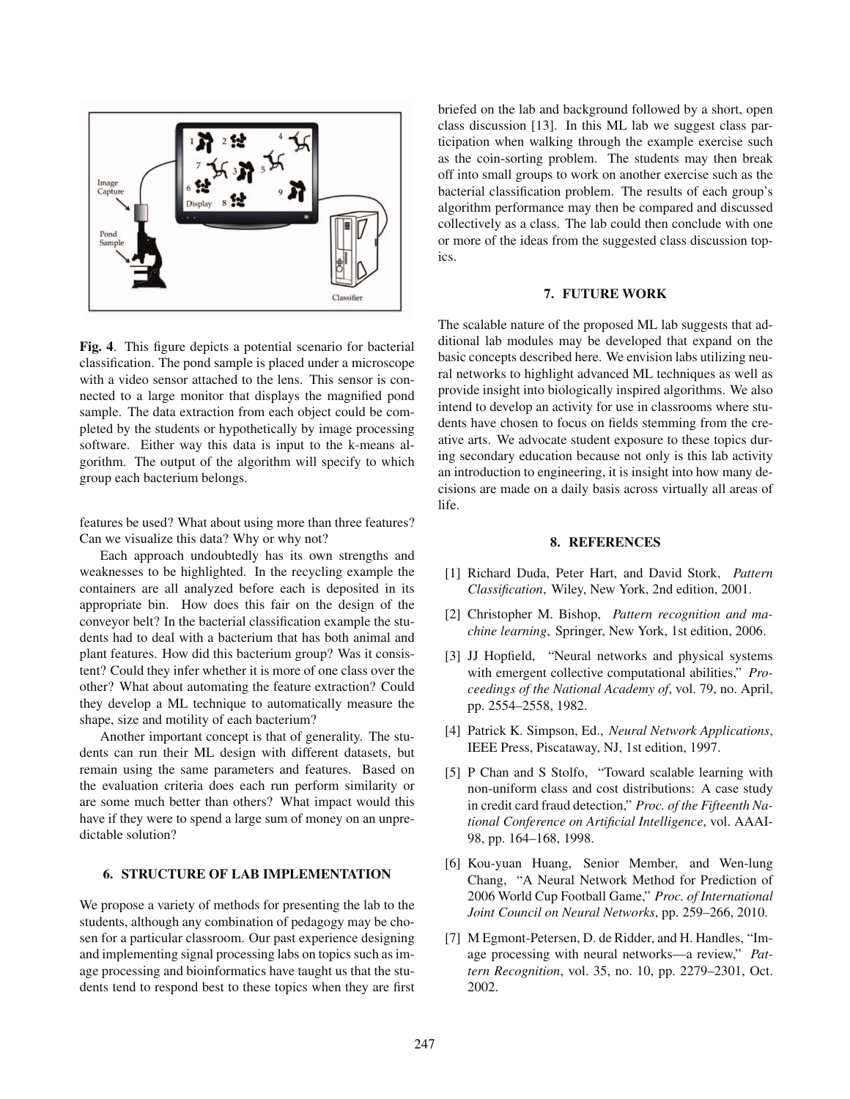

Fig. 4. This figure depicts a potential scenario for bacterial classification. The pond sample is placed under a microscope with a video sensor attached to the lens. This sensor is connected to a large monitor that displays the magnified pond sample. The data extraction from each object could be completed by the students or hypothetically by image processing software. Either way this data is input to the k-means algorithm. The output of the algorithm will specify to which group each bacterium belongs.

features be used? What about using more than three features? Can we visualize this data? Why or why not?

Each approach undoubtedly has its own strengths and weaknesses to be highlighted. In the recycling example the containers are all analyzed before each is deposited in its appropriate bin. How does this fair on the design of the conveyor belt? In the bacterial classification example the students had to deal with a bacterium that has both animal and plant features. How did this bacterium group? Was it consistent? Could they infer whether it is more of one class over the other? What about automating the feature extraction? Could they develop a ML technique to automatically measure the shape, size and motility of each bacterium?

Another important concept is that of generality. The students can run their ML design with different datasets, but remain using the same parameters and features. Based on the evaluation criteria does each run perform similarity or are some much better than others? What impact would this have if they were to spend a large sum of money on an unpredictable solution?

### **6. STRUCTURE OF LAB IMPLEMENTATION** 6. STRUCTURE OF LAB IMPLEMENTATION

We propose a variety of methods for presenting the lab to the students, although any combination of pedagogy may be chosen for a particular classroom. Our past experience designing and implementing signal processing labs on topics such as image processing and bioinformatics have taught us that the students tend to respond best to these topics when they are first

briefed on the lab and background followed by a short, open class discussion [13]. In this ML lab we suggest class participation when walking through the example exercise such as the coin-sorting problem. The students may then break off into small groups to work on another exercise such as the bacterial classification problem. The results of each group's algorithm performance may then be compared and discussed collectively as a class. The lab could then conclude with one or more of the ideas from the suggested class discussion topics.

#### 7. FUTURE WORK  $\overline{1}$ . Future work

The scalable nature of the proposed ML lab suggests that additional lab modules may be developed that expand on the basic concepts described here. We envision labs utilizing neural networks to highlight advanced ML techniques as well as provide insight into biologically inspired algorithms. We also intend to develop an activity for use in classrooms where students have chosen to focus on fields stemming from the creative arts. We advocate student exposure to these topics during secondary education because not only is this lab activity an introduction to engineering, it is insight into how many decisions are made on a daily basis across virtually all areas of life.

## 8. REFERENCES

- [1] Richard Duda, Peter Hart, and David Stork, *Pattern Classification*, Wiley, New York, 2nd edition, 2001.
- [2] Christopher M. Bishop, *Pattern recognition and machine learning*, Springer, New York, 1st edition, 2006.
- [3] JJ Hopfield, "Neural networks and physical systems with emergent collective computational abilities," *Proceedings of the National Academy of*, vol. 79, no. April, pp. 2554–2558, 1982.
- [4] Patrick K. Simpson, Ed., *Neural Network Applications*, IEEE Press, Piscataway, NJ, 1st edition, 1997.
- [5] P Chan and S Stolfo, "Toward scalable learning with non-uniform class and cost distributions: A case study in credit card fraud detection," *Proc. of the Fifteenth National Conference on Artificial Intelligence*, vol. AAAI-98, pp. 164–168, 1998.
- [6] Kou-yuan Huang, Senior Member, and Wen-lung Chang, "A Neural Network Method for Prediction of 2006 World Cup Football Game," *Proc. of International Joint Council on Neural Networks*, pp. 259–266, 2010.
- [7] M Egmont-Petersen, D. de Ridder, and H. Handles, "Image processing with neural networks—a review," *Pattern Recognition*, vol. 35, no. 10, pp. 2279–2301, Oct. 2002.